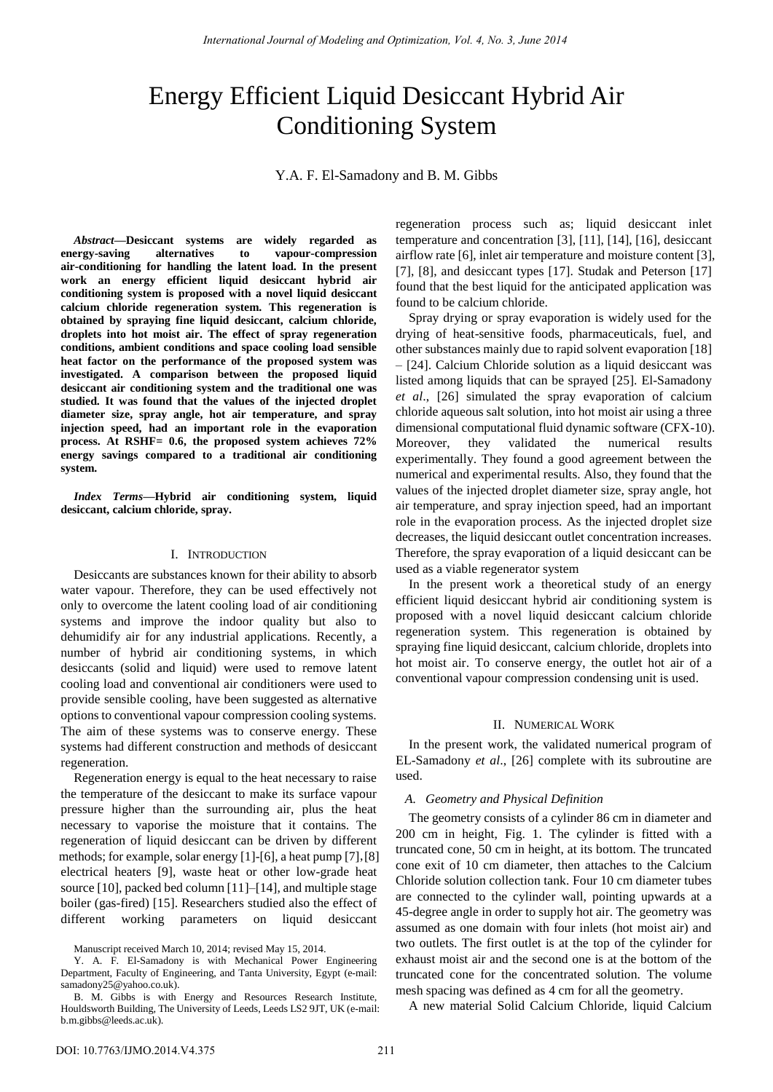# Energy Efficient Liquid Desiccant Hybrid Air Conditioning System

Y.A. F. El-Samadony and B. M. Gibbs

*Abstract***—Desiccant systems are widely regarded as energy-saving alternatives to vapour-compression air-conditioning for handling the latent load. In the present work an energy efficient liquid desiccant hybrid air conditioning system is proposed with a novel liquid desiccant calcium chloride regeneration system. This regeneration is obtained by spraying fine liquid desiccant, calcium chloride, droplets into hot moist air. The effect of spray regeneration conditions, ambient conditions and space cooling load sensible heat factor on the performance of the proposed system was investigated. A comparison between the proposed liquid desiccant air conditioning system and the traditional one was studied. It was found that the values of the injected droplet diameter size, spray angle, hot air temperature, and spray injection speed, had an important role in the evaporation process. At RSHF= 0.6, the proposed system achieves 72% energy savings compared to a traditional air conditioning system.** 

*Index Terms***—Hybrid air conditioning system, liquid desiccant, calcium chloride, spray.**

#### I. INTRODUCTION

Desiccants are substances known for their ability to absorb water vapour. Therefore, they can be used effectively not only to overcome the latent cooling load of air conditioning systems and improve the indoor quality but also to dehumidify air for any industrial applications. Recently, a number of hybrid air conditioning systems, in which desiccants (solid and liquid) were used to remove latent cooling load and conventional air conditioners were used to provide sensible cooling, have been suggested as alternative options to conventional vapour compression cooling systems. The aim of these systems was to conserve energy. These systems had different construction and methods of desiccant regeneration.

Regeneration energy is equal to the heat necessary to raise the temperature of the desiccant to make its surface vapour pressure higher than the surrounding air, plus the heat necessary to vaporise the moisture that it contains. The regeneration of liquid desiccant can be driven by different methods; for example, solar energy [1]-[6], a heat pump [7], [8] electrical heaters [9], waste heat or other low-grade heat source [10], packed bed column [11]–[14], and multiple stage boiler (gas-fired) [15]. Researchers studied also the effect of different working parameters on liquid desiccant

regeneration process such as; liquid desiccant inlet temperature and concentration [3], [11], [14], [16], desiccant airflow rate [6], inlet air temperature and moisture content [3], [7], [8], and desiccant types [17]. Studak and Peterson [17] found that the best liquid for the anticipated application was found to be calcium chloride.

Spray drying or spray evaporation is widely used for the drying of heat-sensitive foods, pharmaceuticals, fuel, and other substances mainly due to rapid solvent evaporation [18] – [24]. Calcium Chloride solution as a liquid desiccant was listed among liquids that can be sprayed [25]. El-Samadony *et al*., [26] simulated the spray evaporation of calcium chloride aqueous salt solution, into hot moist air using a three dimensional computational fluid dynamic software (CFX-10). Moreover, they validated the numerical results experimentally. They found a good agreement between the numerical and experimental results. Also, they found that the values of the injected droplet diameter size, spray angle, hot air temperature, and spray injection speed, had an important role in the evaporation process. As the injected droplet size decreases, the liquid desiccant outlet concentration increases. Therefore, the spray evaporation of a liquid desiccant can be used as a viable regenerator system

In the present work a theoretical study of an energy efficient liquid desiccant hybrid air conditioning system is proposed with a novel liquid desiccant calcium chloride regeneration system. This regeneration is obtained by spraying fine liquid desiccant, calcium chloride, droplets into hot moist air. To conserve energy, the outlet hot air of a conventional vapour compression condensing unit is used.

## II. NUMERICAL WORK

In the present work, the validated numerical program of EL-Samadony *et al*., [26] complete with its subroutine are used.

## *A. Geometry and Physical Definition*

The geometry consists of a cylinder 86 cm in diameter and 200 cm in height, Fig. 1. The cylinder is fitted with a truncated cone, 50 cm in height, at its bottom. The truncated cone exit of 10 cm diameter, then attaches to the Calcium Chloride solution collection tank. Four 10 cm diameter tubes are connected to the cylinder wall, pointing upwards at a 45-degree angle in order to supply hot air. The geometry was assumed as one domain with four inlets (hot moist air) and two outlets. The first outlet is at the top of the cylinder for exhaust moist air and the second one is at the bottom of the truncated cone for the concentrated solution. The volume mesh spacing was defined as 4 cm for all the geometry.

A new material Solid Calcium Chloride, liquid Calcium

Manuscript received March 10, 2014; revised May 15, 2014.

Y. A. F. El-Samadony is with Mechanical Power Engineering Department, Faculty of Engineering, and Tanta University, Egypt (e-mail: samadony25@yahoo.co.uk).

B. M. Gibbs is with Energy and Resources Research Institute, Houldsworth Building, The University of Leeds, Leeds LS2 9JT, UK (e-mail: b.m.gibbs@leeds.ac.uk).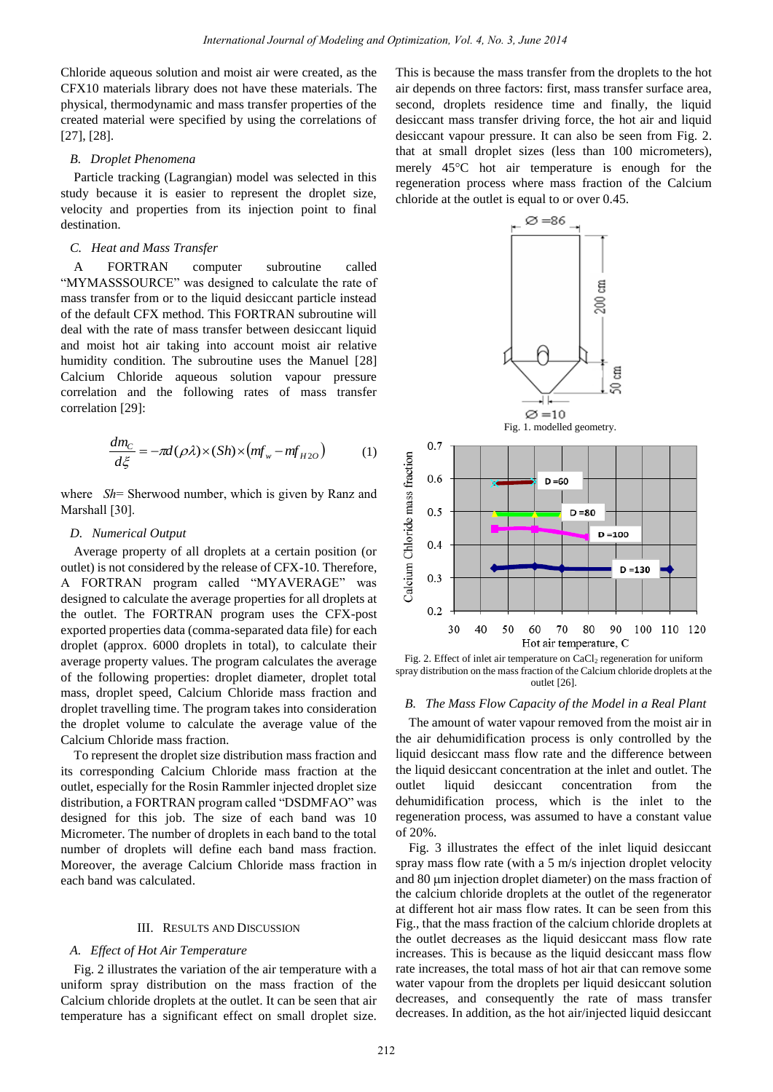Chloride aqueous solution and moist air were created, as the CFX10 materials library does not have these materials. The physical, thermodynamic and mass transfer properties of the created material were specified by using the correlations of [27], [28].

#### *B. Droplet Phenomena*

Particle tracking (Lagrangian) model was selected in this study because it is easier to represent the droplet size, velocity and properties from its injection point to final destination.

# *C. Heat and Mass Transfer*

A FORTRAN computer subroutine called "MYMASSSOURCE" was designed to calculate the rate of mass transfer from or to the liquid desiccant particle instead of the default CFX method. This FORTRAN subroutine will deal with the rate of mass transfer between desiccant liquid and moist hot air taking into account moist air relative humidity condition. The subroutine uses the Manuel [28] Calcium Chloride aqueous solution vapour pressure correlation and the following rates of mass transfer correlation [29]:

$$
\frac{dm_C}{d\xi} = -\pi d(\rho \lambda) \times (Sh) \times (mf_w - mf_{H2O}) \tag{1}
$$

where *Sh*= Sherwood number, which is given by Ranz and Marshall [30].

### *D. Numerical Output*

Average property of all droplets at a certain position (or outlet) is not considered by the release of CFX-10. Therefore, A FORTRAN program called "MYAVERAGE" was designed to calculate the average properties for all droplets at the outlet. The FORTRAN program uses the CFX-post exported properties data (comma-separated data file) for each droplet (approx. 6000 droplets in total), to calculate their average property values. The program calculates the average of the following properties: droplet diameter, droplet total mass, droplet speed, Calcium Chloride mass fraction and droplet travelling time. The program takes into consideration the droplet volume to calculate the average value of the Calcium Chloride mass fraction.

To represent the droplet size distribution mass fraction and its corresponding Calcium Chloride mass fraction at the outlet, especially for the Rosin Rammler injected droplet size distribution, a FORTRAN program called "DSDMFAO" was designed for this job. The size of each band was 10 Micrometer. The number of droplets in each band to the total number of droplets will define each band mass fraction. Moreover, the average Calcium Chloride mass fraction in each band was calculated.

#### III. RESULTS AND DISCUSSION

## *A. Effect of Hot Air Temperature*

Fig. 2 illustrates the variation of the air temperature with a uniform spray distribution on the mass fraction of the Calcium chloride droplets at the outlet. It can be seen that air temperature has a significant effect on small droplet size.

This is because the mass transfer from the droplets to the hot air depends on three factors: first, mass transfer surface area, second, droplets residence time and finally, the liquid desiccant mass transfer driving force, the hot air and liquid desiccant vapour pressure. It can also be seen from Fig. 2. that at small droplet sizes (less than 100 micrometers), merely 45<sup>o</sup>C hot air temperature is enough for the regeneration process where mass fraction of the Calcium chloride at the outlet is equal to or over 0.45.



Fig. 2. Effect of inlet air temperature on CaCl<sub>2</sub> regeneration for uniform spray distribution on the mass fraction of the Calcium chloride droplets at the outlet [26].

### *B. The Mass Flow Capacity of the Model in a Real Plant*

The amount of water vapour removed from the moist air in the air dehumidification process is only controlled by the liquid desiccant mass flow rate and the difference between the liquid desiccant concentration at the inlet and outlet. The outlet liquid desiccant concentration from the dehumidification process, which is the inlet to the regeneration process, was assumed to have a constant value of 20%.

Fig. 3 illustrates the effect of the inlet liquid desiccant spray mass flow rate (with a 5 m/s injection droplet velocity and 80 µm injection droplet diameter) on the mass fraction of the calcium chloride droplets at the outlet of the regenerator at different hot air mass flow rates. It can be seen from this Fig., that the mass fraction of the calcium chloride droplets at the outlet decreases as the liquid desiccant mass flow rate increases. This is because as the liquid desiccant mass flow rate increases, the total mass of hot air that can remove some water vapour from the droplets per liquid desiccant solution decreases, and consequently the rate of mass transfer decreases. In addition, as the hot air/injected liquid desiccant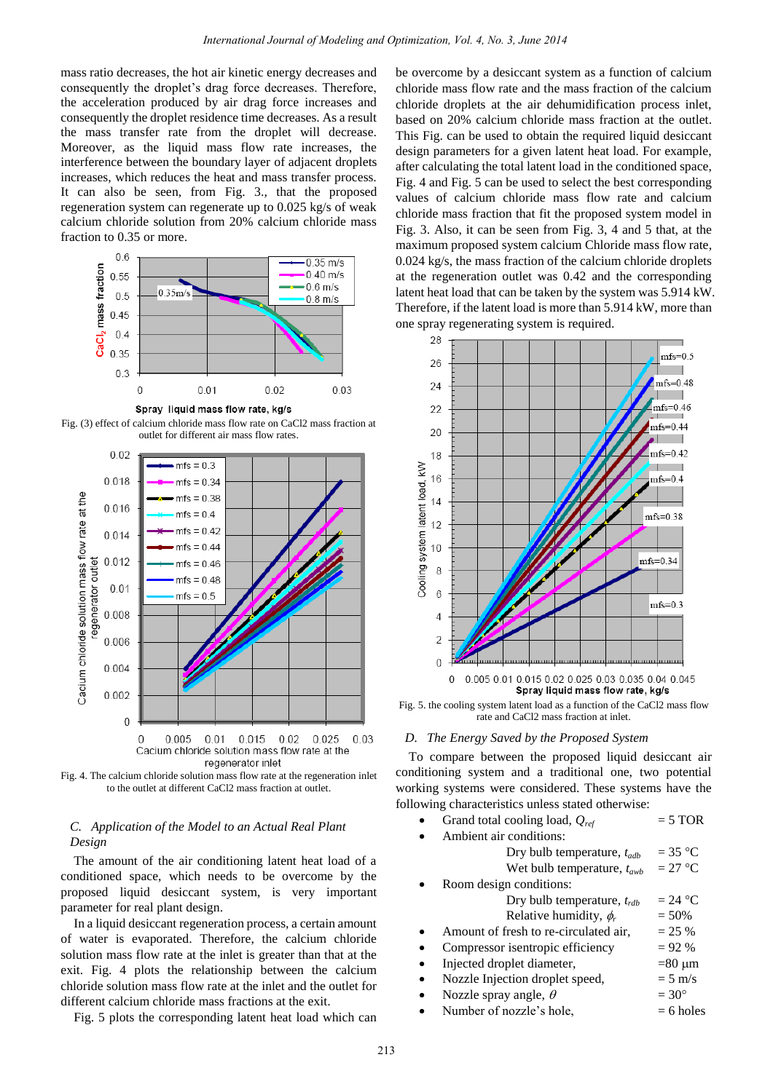mass ratio decreases, the hot air kinetic energy decreases and consequently the droplet's drag force decreases. Therefore, the acceleration produced by air drag force increases and consequently the droplet residence time decreases. As a result the mass transfer rate from the droplet will decrease. Moreover, as the liquid mass flow rate increases, the interference between the boundary layer of adjacent droplets increases, which reduces the heat and mass transfer process. It can also be seen, from Fig. 3., that the proposed regeneration system can regenerate up to 0.025 kg/s of weak calcium chloride solution from 20% calcium chloride mass fraction to 0.35 or more.



Fig. (3) effect of calcium chloride mass flow rate on CaCl2 mass fraction at outlet for different air mass flow rates.



Fig. 4. The calcium chloride solution mass flow rate at the regeneration inlet to the outlet at different CaCl2 mass fraction at outlet.

# *C. Application of the Model to an Actual Real Plant Design*

The amount of the air conditioning latent heat load of a conditioned space, which needs to be overcome by the proposed liquid desiccant system, is very important parameter for real plant design.

In a liquid desiccant regeneration process, a certain amount of water is evaporated. Therefore, the calcium chloride solution mass flow rate at the inlet is greater than that at the exit. Fig. 4 plots the relationship between the calcium chloride solution mass flow rate at the inlet and the outlet for different calcium chloride mass fractions at the exit.

Fig. 5 plots the corresponding latent heat load which can

be overcome by a desiccant system as a function of calcium chloride mass flow rate and the mass fraction of the calcium chloride droplets at the air dehumidification process inlet, based on 20% calcium chloride mass fraction at the outlet. This Fig. can be used to obtain the required liquid desiccant design parameters for a given latent heat load. For example, after calculating the total latent load in the conditioned space, Fig. 4 and Fig. 5 can be used to select the best corresponding values of calcium chloride mass flow rate and calcium chloride mass fraction that fit the proposed system model in Fig. 3. Also, it can be seen from Fig. 3, 4 and 5 that, at the maximum proposed system calcium Chloride mass flow rate, 0.024 kg/s, the mass fraction of the calcium chloride droplets at the regeneration outlet was 0.42 and the corresponding latent heat load that can be taken by the system was 5.914 kW. Therefore, if the latent load is more than 5.914 kW, more than one spray regenerating system is required.



Fig. 5. the cooling system latent load as a function of the CaCl2 mass flow rate and CaCl2 mass fraction at inlet.

#### *D. The Energy Saved by the Proposed System*

To compare between the proposed liquid desiccant air conditioning system and a traditional one, two potential working systems were considered. These systems have the following characteristics unless stated otherwise:

| Grand total cooling load, $Q_{ref}$    | $= 5 \text{ TOR}$ |
|----------------------------------------|-------------------|
| Ambient air conditions:                |                   |
| Dry bulb temperature, $t_{adb}$        | $=$ 35 °C         |
| Wet bulb temperature, $t_{\text{awb}}$ | $= 27 °C$         |
| Room design conditions:                |                   |
| Dry bulb temperature, $t_{rdh}$        | $= 24 °C$         |
| Relative humidity, $\phi_r$            | $= 50\%$          |
| Amount of fresh to re-circulated air,  | $= 25 %$          |
| Compressor isentropic efficiency       | $= 92 %$          |
| Injected droplet diameter,             | =80 µm            |
| Nozzle Injection droplet speed,        | $= 5$ m/s         |
| Nozzle spray angle, $\theta$           | $=30^{\circ}$     |
| $N$ where $\epsilon$ needs a hole      | $-$ 6 kolog       |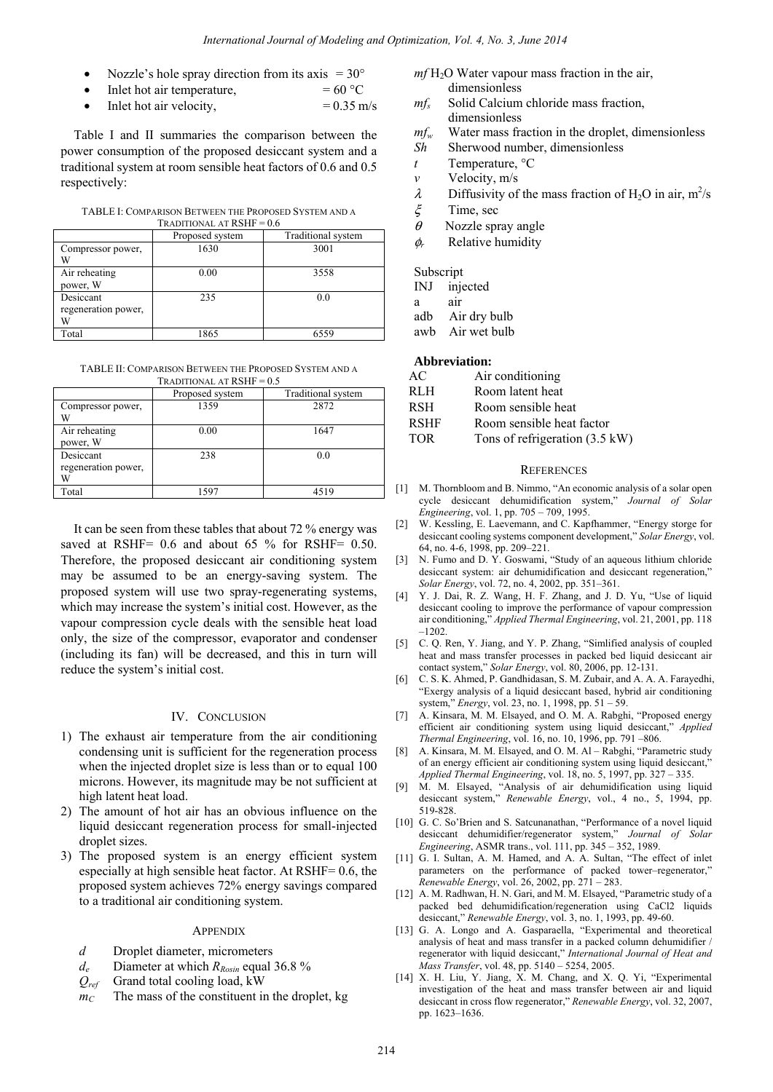- Nozzle's hole spray direction from its axis  $= 30^{\circ}$
- Inlet hot air temperature,  $= 60 °C$
- Inlet hot air velocity,  $= 0.35$  m/s

Table I and II summaries the comparison between the power consumption of the proposed desiccant system and a traditional system at room sensible heat factors of 0.6 and 0.5 respectively:

TABLE I: COMPARISON BETWEEN THE PROPOSED SYSTEM AND A TRADITIONAL AT  $RSHF = 0.6$ 

|                                  | Proposed system | Traditional system |
|----------------------------------|-----------------|--------------------|
| Compressor power,<br>V           | 1630            | 3001               |
| Air reheating<br>power, W        | 0.00            | 3558               |
| Desiccant<br>regeneration power, | 235             | 0.0                |
| Total                            | 1865            | 6559               |

TABLE II: COMPARISON BETWEEN THE PROPOSED SYSTEM AND A

| <b>TRADITIONAL AT RSHF = <math>0.5</math></b> |                 |                    |  |  |
|-----------------------------------------------|-----------------|--------------------|--|--|
|                                               | Proposed system | Traditional system |  |  |
| Compressor power,<br>W                        | 1359            | 2872               |  |  |
| Air reheating<br>power, W                     | 0.00            | 1647               |  |  |
| Desiccant<br>regeneration power,              | 238             | 0.0                |  |  |
| Total                                         | 1597            | 4519               |  |  |

It can be seen from these tables that about 72 % energy was saved at RSHF= 0.6 and about 65 % for RSHF= 0.50. Therefore, the proposed desiccant air conditioning system may be assumed to be an energy-saving system. The proposed system will use two spray-regenerating systems, which may increase the system's initial cost. However, as the vapour compression cycle deals with the sensible heat load only, the size of the compressor, evaporator and condenser (including its fan) will be decreased, and this in turn will reduce the system's initial cost.

### IV. CONCLUSION

- 1) The exhaust air temperature from the air conditioning condensing unit is sufficient for the regeneration process when the injected droplet size is less than or to equal 100 microns. However, its magnitude may be not sufficient at high latent heat load.
- 2) The amount of hot air has an obvious influence on the liquid desiccant regeneration process for small-injected droplet sizes.
- 3) The proposed system is an energy efficient system especially at high sensible heat factor. At RSHF= 0.6, the proposed system achieves 72% energy savings compared to a traditional air conditioning system.

#### **APPENDIX**

- *d* Droplet diameter, micrometers
- *d<sub>e</sub>* Diameter at which *R*<sub>*Rosin*</sub> equal 36.8 %
- *Qref* Grand total cooling load, kW
- $m<sub>C</sub>$  The mass of the constituent in the droplet, kg
- $m<sup>f</sup>$  H<sub>2</sub>O Water vapour mass fraction in the air, dimensionless
- *mfs* Solid Calcium chloride mass fraction, dimensionless
- *mfw* Water mass fraction in the droplet, dimensionless
- *Sh* Sherwood number, dimensionless
- *t* Temperature, °C
- *v* Velocity, m/s
- $\lambda$  Diffusivity of the mass fraction of H<sub>2</sub>O in air, m<sup>2</sup>/s
- ξ Time, sec
- $\theta$  Nozzle spray angle
- φ*r* Relative humidity

## Subscript

INJ injected

a air

- adb Air dry bulb
- awb Air wet bulb

### **Abbreviation:**

- RLH Room latent heat
- RSH Room sensible heat
- RSHF Room sensible heat factor
- TOR Tons of refrigeration  $(3.5 \text{ kW})$

#### **REFERENCES**

- [1] M. Thornbloom and B. Nimmo, "An economic analysis of a solar open cycle desiccant dehumidification system," *Journal of Solar Engineering*, vol. 1, pp. 705 – 709, 1995.
- [2] W. Kessling, E. Laevemann, and C. Kapfhammer, "Energy storge for desiccant cooling systems component development," *Solar Energy*, vol. 64, no. 4-6, 1998, pp. 209–221.
- [3] N. Fumo and D. Y. Goswami, "Study of an aqueous lithium chloride desiccant system: air dehumidification and desiccant regeneration," *Solar Energy*, vol. 72, no. 4, 2002, pp. 351–361.
- [4] Y. J. Dai, R. Z. Wang, H. F. Zhang, and J. D. Yu, "Use of liquid desiccant cooling to improve the performance of vapour compression air conditioning," *Applied Thermal Engineering*, vol. 21, 2001, pp. 118 –1202.
- [5] C. Q. Ren, Y. Jiang, and Y. P. Zhang, "Simlified analysis of coupled heat and mass transfer processes in packed bed liquid desiccant air contact system," *Solar Energy*, vol. 80, 2006, pp. 12-131.
- [6] C. S. K. Ahmed, P. Gandhidasan, S. M. Zubair, and A. A. A. Farayedhi, "Exergy analysis of a liquid desiccant based, hybrid air conditioning system," *Energy*, vol. 23, no. 1, 1998, pp. 51 – 59.
- [7] A. Kinsara, M. M. Elsayed, and O. M. A. Rabghi, "Proposed energy efficient air conditioning system using liquid desiccant," *Applied Thermal Engineering*, vol. 16, no. 10, 1996, pp. 791 –806.
- [8] A. Kinsara, M. M. Elsayed, and O. M. Al Rabghi, "Parametric study of an energy efficient air conditioning system using liquid desiccant," *Applied Thermal Engineering*, vol. 18, no. 5, 1997, pp. 327 – 335.
- [9] M. M. Elsayed, "Analysis of air dehumidification using liquid desiccant system," *Renewable Energy*, vol., 4 no., 5, 1994, pp. 519-828.
- [10] G. C. So'Brien and S. Satcunanathan, "Performance of a novel liquid desiccant dehumidifier/regenerator system," *Journal of Solar Engineering*, ASMR trans., vol. 111, pp. 345 – 352, 1989.
- [11] G. I. Sultan, A. M. Hamed, and A. A. Sultan, "The effect of inlet parameters on the performance of packed tower–regenerator," *Renewable Energy*, vol. 26, 2002, pp. 271 – 283.
- [12] A. M. Radhwan, H. N. Gari, and M. M. Elsayed, "Parametric study of a packed bed dehumidification/regeneration using CaCl2 liquids desiccant," *Renewable Energy*, vol. 3, no. 1, 1993, pp. 49-60.
- [13] G. A. Longo and A. Gasparaella, "Experimental and theoretical analysis of heat and mass transfer in a packed column dehumidifier / regenerator with liquid desiccant," *International Journal of Heat and Mass Transfer*, vol. 48, pp. 5140 – 5254, 2005.
- [14] X. H. Liu, Y. Jiang, X. M. Chang, and X. Q. Yi, "Experimental investigation of the heat and mass transfer between air and liquid desiccant in cross flow regenerator," *Renewable Energy*, vol. 32, 2007, pp. 1623–1636.